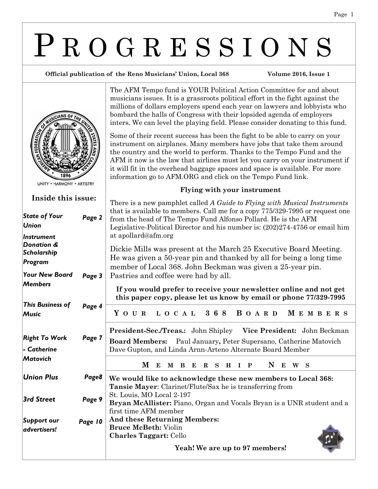# P R O G R E S S I O N S

The AFM Tempo fund is YOUR Political Action Committee for and about musicians issues. It is a grassroots political effort in the fight against the millions of dollars employers spend each year on lawyers and lobbyists who bombard the halls of Congress with their lopsided agenda of employers inters. We can level the playing field. Please consider donating to this fund.

Some of their recent success has been the fight to be able to carry on your instrument on airplanes. Many members have jobs that take them around the country and the world to perform. Thanks to the Tempo Fund and the AFM it now is the law that airlines must let you carry on your instrument if it will fit in the overhead baggage spaces and space is available. For more

**Flying with your instrument**

information go to AFM.ORG and click on the Tempo Fund link.

#### **Official publication of the Reno Musicians' Union, Local 368 Volume 2016, Issue 1**



# **Inside this issue:**

| 11151UC U1115 155UC.                    |         | There is a new pamphlet called A Guide to Flying with Musical Instruments                                                                                                                                                      |
|-----------------------------------------|---------|--------------------------------------------------------------------------------------------------------------------------------------------------------------------------------------------------------------------------------|
| <b>State of Your</b><br><b>Union</b>    | Page 2  | that is available to members. Call me for a copy 775/329-7995 or request one<br>from the head of The Tempo Fund Alfonso Pollard. He is the AFM<br>Legislative-Political Director and his number is: (202)274-4756 or email him |
| Instrument                              |         | at apollard@afm.org                                                                                                                                                                                                            |
| Donation &<br>Scholarship               |         | Dickie Mills was present at the March 25 Executive Board Meeting.                                                                                                                                                              |
| Program                                 |         | He was given a 50-year pin and thanked by all for being a long time<br>member of Local 368. John Beckman was given a 25-year pin.                                                                                              |
| <b>Your New Board</b>                   | Page 3  | Pastries and coffee were had by all.                                                                                                                                                                                           |
| <b>Members</b>                          |         | If you would prefer to receive your newsletter online and not get<br>this paper copy, please let us know by email or phone 77/329-7995                                                                                         |
| <b>This Business of</b><br><b>Music</b> | Page 4  | L O C A L 368 B O A R D<br>Y O U R<br><b>MEMBERS</b>                                                                                                                                                                           |
|                                         |         | President-Sec./Treas.: John Shipley Vice President: John Beckman                                                                                                                                                               |
| <b>Right To Work</b>                    | Page 7  | Board Members: Paul January, Peter Supersano, Catherine Matovich                                                                                                                                                               |
| - Catherine                             |         | Dave Gupton, and Linda Arnn-Arteno Alternate Board Member                                                                                                                                                                      |
| <b>Matovich</b>                         |         | M<br>N<br>E<br>B E<br>R S<br>$\mathbf{P}$<br>Е<br>W S<br>M<br>$H$ I                                                                                                                                                            |
| <b>Union Plus</b>                       | Page8   | We would like to acknowledge these new members to Local 368:<br><b>Tansie Mayer:</b> Clarinet/Flute/Sax he is transferring from                                                                                                |
| <b>3rd Street</b>                       | Page 9  | St. Louis, MO Local 2-197<br>Bryan McAllister: Piano, Organ and Vocals Bryan is a UNR student and a<br>first time AFM member                                                                                                   |
| Support our                             | Page 10 | And these Returning Members:                                                                                                                                                                                                   |
| advertisers!                            |         | <b>Bruce McBeth: Violin</b>                                                                                                                                                                                                    |
|                                         |         | <b>Charles Taggart: Cello</b>                                                                                                                                                                                                  |
|                                         |         | Yeah! We are up to 97 members!                                                                                                                                                                                                 |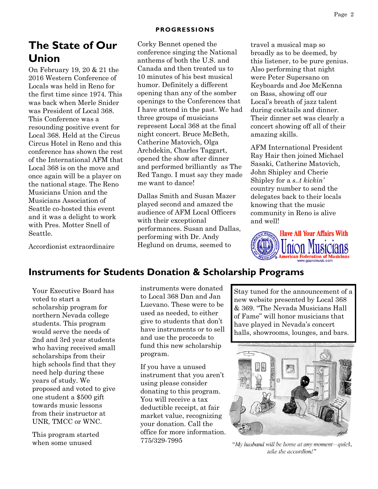#### **PROGRESSIONS**

# **The State of Our Union**

On February 19, 20 & 21 the 2016 Western Conference of Locals was held in Reno for the first time since 1974. This was back when Merle Snider was President of Local 368. This Conference was a resounding positive event for Local 368. Held at the Circus Circus Hotel in Reno and this conference has shown the rest of the International AFM that Local 368 is on the move and once again will be a player on the national stage. The Reno Musicians Union and the Musicians Association of Seattle co-hosted this event and it was a delight to work with Pres. Motter Snell of Seattle.

Accordionist extraordinaire

Corky Bennet opened the conference singing the National anthems of both the U.S. and Canada and then treated us to 10 minutes of his best musical humor. Definitely a different opening than any of the somber openings to the Conferences that I have attend in the past. We had three groups of musicians represent Local 368 at the final night concert. Bruce McBeth, Catherine Matovich, Olga Archdekin, Charles Taggart, opened the show after dinner and performed brilliantly as The Red Tango. I must say they made me want to dance!

Dallas Smith and Susan Mazer played second and amazed the audience of AFM Local Officers with their exceptional performances. Susan and Dallas, performing with Dr. Andy Heglund on drums, seemed to

travel a musical map so broadly as to be deemed, by this listener, to be pure genius. Also performing that night were Peter Supersano on Keyboards and Joe McKenna on Bass, showing off our Local's breath of jazz talent during cocktails and dinner. Their dinner set was clearly a concert showing off all of their amazing skills.

AFM International President Ray Hair then joined Michael Sasaki, Catherine Matovich, John Shipley and Cherie Shipley for a *s..t kickin'*  country number to send the delegates back to their locals knowing that the music community in Reno is alive and well!



# **Instruments for Students Donation & Scholarship Programs**

Your Executive Board has voted to start a scholarship program for northern Nevada college students. This program would serve the needs of 2nd and 3rd year students who having received small scholarships from their high schools find that they need help during these years of study. We proposed and voted to give one student a \$500 gift towards music lessons from their instructor at UNR, TMCC or WNC.

This program started when some unused

instruments were donated to Local 368 Dan and Jan Luevano. These were to be used as needed, to either give to students that don't have instruments or to sell and use the proceeds to fund this new scholarship program.

If you have a unused instrument that you aren't using please consider donating to this program. You will receive a tax deductible receipt, at fair market value, recognizing your donation. Call the office for more information. 775/329-7995

Stay tuned for the announcement of a new website presented by Local 368 & 369. "The Nevada Musicians Hall of Fame" will honor musicians that have played in Nevada's concert halls, showrooms, lounges, and bars.



"My husband will be home at any moment-quick, take the accordion!"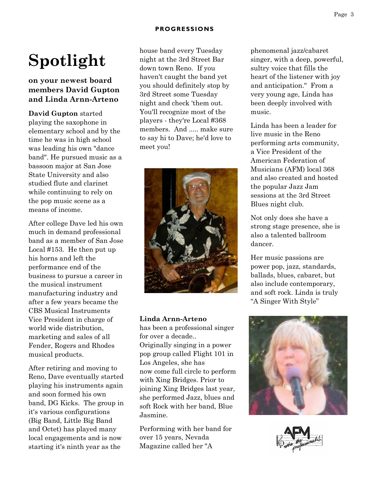# **Spotlight**

#### **on your newest board members David Gupton and Linda Arnn-Arteno**

**David Gupton** started playing the saxophone in elementary school and by the time he was in high school was leading his own "dance band". He pursued music as a bassoon major at San Jose State University and also studied flute and clarinet while continuing to rely on the pop music scene as a means of income.

After college Dave led his own much in demand professional band as a member of San Jose Local #153. He then put up his horns and left the performance end of the business to pursue a career in the musical instrument manufacturing industry and after a few years became the CBS Musical Instruments Vice President in charge of world wide distribution, marketing and sales of all Fender, Rogers and Rhodes musical products.

After retiring and moving to Reno, Dave eventually started playing his instruments again and soon formed his own band, DG Kicks. The group in it's various configurations (Big Band, Little Big Band and Octet) has played many local engagements and is now starting it's ninth year as the

house band every Tuesday night at the 3rd Street Bar down town Reno. If you haven't caught the band yet you should definitely stop by 3rd Street some Tuesday night and check 'them out. You'll recognize most of the players - they're Local #368 members. And ..... make sure to say hi to Dave; he'd love to meet you!



#### **Linda Arnn-Arteno**

has been a professional singer for over a decade.. Originally singing in a power pop group called Flight 101 in Los Angeles, she has now come full circle to perform with Xing Bridges. Prior to joining Xing Bridges last year, she performed Jazz, blues and soft Rock with her band, Blue Jasmine.

Performing with her band for over 15 years, Nevada Magazine called her "A

phenomenal jazz/cabaret singer, with a deep, powerful, sultry voice that fills the heart of the listener with joy and anticipation." From a very young age, Linda has been deeply involved with music.

Linda has been a leader for live music in the Reno performing arts community, a Vice President of the American Federation of Musicians (AFM) local 368 and also created and hosted the popular Jazz Jam sessions at the 3rd Street Blues night club.

Not only does she have a strong stage presence, she is also a talented ballroom dancer.

Her music passions are power pop, jazz, standards, ballads, blues, cabaret, but also include contemporary, and soft rock. Linda is truly "A Singer With Style"



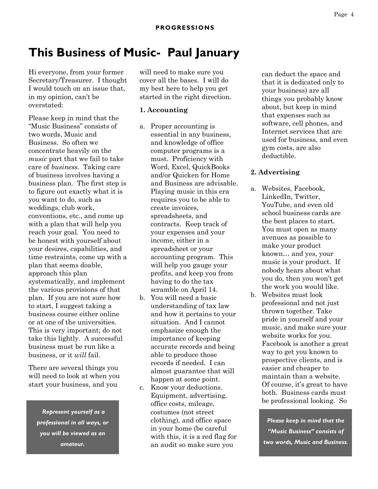# **This Business of Music- Paul January**

Hi everyone, from your former Secretary/Treasurer. I thought I would touch on an issue that, in my opinion, can't be overstated:

Please keep in mind that the "Music Business" consists of two words, Music and Business. So often we concentrate heavily on the *music* part that we fail to take care of *business*. Taking care of business involves having a business plan. The first step is to figure out exactly what it is you want to do, such as weddings, club work, conventions, etc., and come up with a plan that will help you reach your goal. You need to be honest with yourself about your desires, capabilities, and time restraints, come up with a plan that seems doable, approach this plan systematically, and implement the various provisions of that plan. If you are not sure how to start, I suggest taking a business course either online or at one of the universities. This is very important; do not take this lightly. A successful business must be run like a business, or it *will* fail.

There are several things you will need to look at when you start your business, and you

*Represent yourself as a professional in all ways, or you will be viewed as an amateur.*

will need to make sure you cover all the bases. I will do my best here to help you get started in the right direction.

#### **1. Accounting**

- a. Proper accounting is essential in any business, and knowledge of office computer programs is a must. Proficiency with Word, Excel, QuickBooks and/or Quicken for Home and Business are advisable. Playing music in this era requires you to be able to create invoices, spreadsheets, and contracts. Keep track of your expenses and your income, either in a spreadsheet or your accounting program. This will help you gauge your profits, and keep you from having to do the tax scramble on April 14.
- b. You will need a basic understanding of tax law and how it pertains to your situation. And I cannot emphasize enough the importance of keeping accurate records and being able to produce those records if needed. I can almost guarantee that will happen at some point.
- c. Know your deductions. Equipment, advertising, office costs, mileage, costumes (not street clothing), and office space in your home (be careful with this, it is a red flag for an audit so make sure you

can deduct the space and that it is dedicated only to your business) are all things you probably know about, but keep in mind that expenses such as software, cell phones, and Internet services that are used for business, and even gym costs, are also deductible.

#### **2. Advertising**

- a. Websites, Facebook, LinkedIn, Twitter, YouTube, and even old school business cards are the best places to start. You must open as many avenues as possible to make your product known… and yes, your music is your product. If nobody hears about what you do, then you won't get the work you would like.
- b. Websites must look professional and not just thrown together. Take pride in yourself and your music, and make sure your website works for you. Facebook is another a great way to get you known to prospective clients, and is easier and cheaper to maintain than a website. Of course, it's great to have both. Business cards must be professional looking. So

*Please keep in mind that the "Music Business" consists of two words, Music and Business.*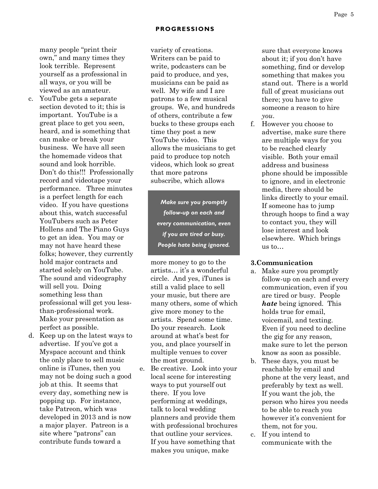many people "print their own," and many times they look terrible. Represent yourself as a professional in all ways, or you will be viewed as an amateur.

- c. YouTube gets a separate section devoted to it; this is important. YouTube is a great place to get you seen, heard, and is something that can make or break your business. We have all seen the homemade videos that sound and look horrible. Don't do this!!! Professionally record and videotape your performance. Three minutes is a perfect length for each video. If you have questions about this, watch successful YouTubers such as Peter Hollens and The Piano Guys to get an idea. You may or may not have heard these folks; however, they currently hold major contracts and started solely on YouTube. The sound and videography will sell you. Doing something less than professional will get you lessthan-professional work. Make your presentation as perfect as possible.
- d. Keep up on the latest ways to advertise. If you've got a Myspace account and think the only place to sell music online is iTunes, then you may not be doing such a good job at this. It seems that every day, something new is popping up. For instance, take Patreon, which was developed in 2013 and is now a major player. Patreon is a site where "patrons" can contribute funds toward a

variety of creations. Writers can be paid to write, podcasters can be paid to produce, and yes, musicians can be paid as well. My wife and I are patrons to a few musical groups. We, and hundreds of others, contribute a few bucks to these groups each time they post a new YouTube video. This allows the musicians to get paid to produce top notch videos, which look so great that more patrons subscribe, which allows

*Make sure you promptly follow-up on each and every communication, even if you are tired or busy. People hate being ignored.*

more money to go to the artists… it's a wonderful circle. And yes, iTunes is still a valid place to sell your music, but there are many others, some of which give more money to the artists. Spend some time. Do your research. Look around at what's best for you, and place yourself in multiple venues to cover the most ground.

e. Be creative. Look into your local scene for interesting ways to put yourself out there. If you love performing at weddings, talk to local wedding planners and provide them with professional brochures that outline your services. If you have something that makes you unique, make

sure that everyone knows about it; if you don't have something, find or develop something that makes you stand out. There is a world full of great musicians out there; you have to give someone a reason to hire *you*.

f. However you choose to advertise, make sure there are multiple ways for you to be reached clearly visible. Both your email address and business phone should be impossible to ignore, and in electronic media, there should be links directly to your email. If someone has to jump through hoops to find a way to contact you, they will lose interest and look elsewhere. Which brings us to…

#### **3.Communication**

- a. Make sure you promptly follow-up on each and every communication, even if you are tired or busy. People *hate* being ignored. This holds true for email, voicemail, and texting. Even if you need to decline the gig for any reason, make sure to let the person know as soon as possible.
- b. These days, you must be reachable by email and phone at the very least, and preferably by text as well. If you want the job, the person who hires you needs to be able to reach you however it's convenient for them, not for you.
- c. If you intend to communicate with the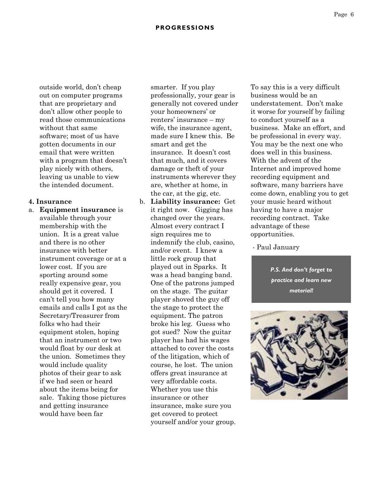outside world, don't cheap out on computer programs that are proprietary and don't allow other people to read those communications without that same software; most of us have gotten documents in our email that were written with a program that doesn't play nicely with others, leaving us unable to view the intended document.

#### **4. Insurance**

a. **Equipment insurance** is available through your membership with the union. It is a great value and there is no other insurance with better instrument coverage or at a lower cost. If you are sporting around some really expensive gear, you should get it covered. I can't tell you how many emails and calls I got as the Secretary/Treasurer from folks who had their equipment stolen, hoping that an instrument or two would float by our desk at the union. Sometimes they would include quality photos of their gear to ask if we had seen or heard about the items being for sale. Taking those pictures and getting insurance would have been far

smarter. If you play professionally, your gear is generally not covered under your homeowners' or renters' insurance – my wife, the insurance agent, made sure I knew this. Be smart and get the insurance. It doesn't cost that much, and it covers damage or theft of your instruments wherever they are, whether at home, in the car, at the gig, etc.

b. **Liability insurance:** Get it right now. Gigging has changed over the years. Almost every contract I sign requires me to indemnify the club, casino, and/or event. I knew a little rock group that played out in Sparks. It was a head banging band. One of the patrons jumped on the stage. The guitar player shoved the guy off the stage to protect the equipment. The patron broke his leg. Guess who got sued? Now the guitar player has had his wages attached to cover the costs of the litigation, which of course, he lost. The union offers great insurance at very affordable costs. Whether you use this insurance or other insurance, make sure you get covered to protect yourself and/or your group. To say this is a very difficult business would be an understatement. Don't make it worse for yourself by failing to conduct yourself as a business. Make an effort, and be professional in every way. You may be the next one who does well in this business. With the advent of the Internet and improved home recording equipment and software, many barriers have come down, enabling you to get your music heard without having to have a major recording contract. Take advantage of these opportunities.

#### - Paul January

*P.S. And don't forget to practice and learn new material!*

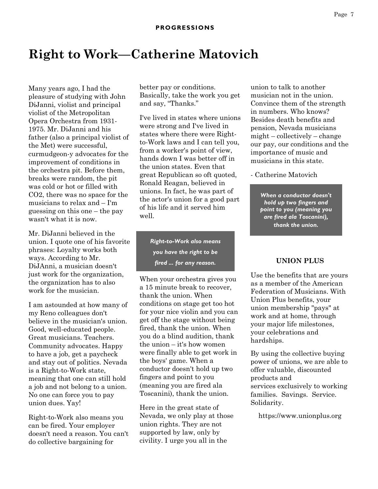# **Right to Work—Catherine Matovich**

Many years ago, I had the pleasure of studying with John DiJanni, violist and principal violist of the Metropolitan Opera Orchestra from 1931- 1975. Mr. DiJanni and his father (also a principal violist of the Met) were successful, curmudgeon-y advocates for the improvement of conditions in the orchestra pit. Before them, breaks were random, the pit was cold or hot or filled with CO2, there was no space for the musicians to relax and – I'm guessing on this one – the pay wasn't what it is now.

Mr. DiJanni believed in the union. I quote one of his favorite phrases: Loyalty works both ways. According to Mr. DiJAnni, a musician doesn't just work for the organization, the organization has to also work for the musician.

I am astounded at how many of my Reno colleagues don't believe in the musician's union. Good, well-educated people. Great musicians. Teachers. Community advocates. Happy to have a job, get a paycheck and stay out of politics. Nevada is a Right-to-Work state, meaning that one can still hold a job and not belong to a union. No one can force you to pay union dues. Yay!

Right-to-Work also means you can be fired. Your employer doesn't need a reason. You can't do collective bargaining for

better pay or conditions. Basically, take the work you get and say, "Thanks."

I've lived in states where unions were strong and I've lived in states where there were Rightto-Work laws and I can tell you, from a worker's point of view, hands down I was better off in the union states. Even that great Republican so oft quoted, Ronald Reagan, believed in unions. In fact, he was part of the actor's union for a good part of his life and it served him well.

> *Right-to-Work also means you have the right to be fired ... for any reason.*

When your orchestra gives you a 15 minute break to recover, thank the union. When conditions on stage get too hot for your nice violin and you can get off the stage without being fired, thank the union. When you do a blind audition, thank the union – it's how women were finally able to get work in the boys' game. When a conductor doesn't hold up two fingers and point to you (meaning you are fired ala Toscanini), thank the union.

Here in the great state of Nevada, we only play at those union rights. They are not supported by law, only by civility. I urge you all in the

union to talk to another musician not in the union. Convince them of the strength in numbers. Who knows? Besides death benefits and pension, Nevada musicians might – collectively – change our pay, our conditions and the importance of music and musicians in this state.

- Catherine Matovich

*When a conductor doesn't hold up two fingers and point to you (meaning you are fired ala Toscanini), thank the union.*

#### **UNION PLUS**

Use the benefits that are yours as a member of the American Federation of Musicians. With Union Plus benefits, your union membership "pays" at work and at home, through your major life milestones, your celebrations and hardships.

By using the collective buying power of unions, we are able to offer valuable, discounted products and services exclusively to working families. Savings. Service. Solidarity.

https://www.unionplus.org